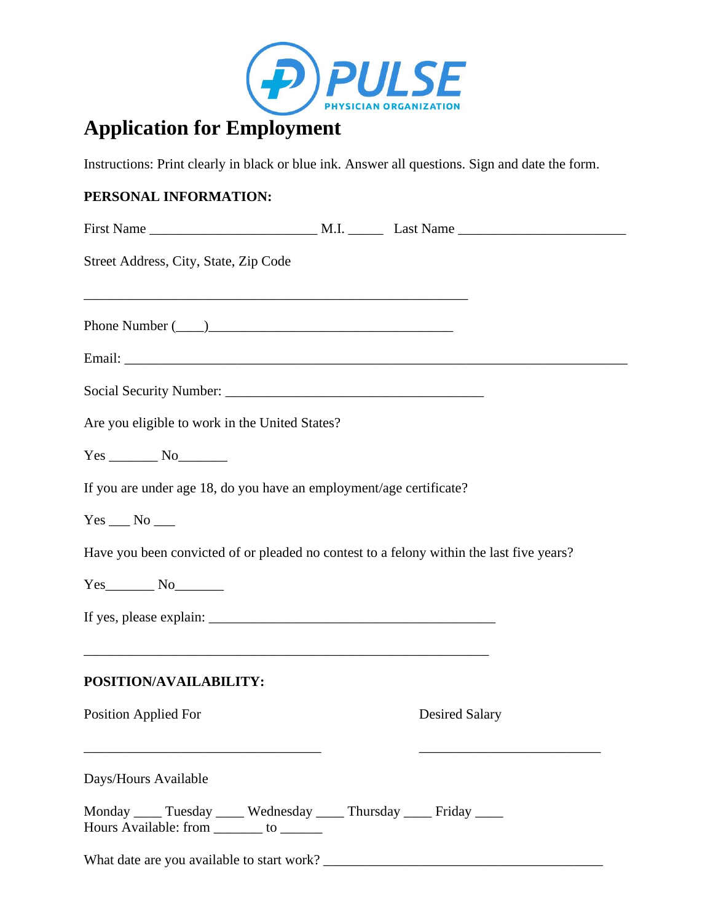

# **Application for Employment**

Instructions: Print clearly in black or blue ink. Answer all questions. Sign and date the form.

# **PERSONAL INFORMATION:**

| Street Address, City, State, Zip Code                                                                               |                       |
|---------------------------------------------------------------------------------------------------------------------|-----------------------|
| Phone Number $(\_\_)$                                                                                               |                       |
|                                                                                                                     |                       |
|                                                                                                                     |                       |
| Are you eligible to work in the United States?                                                                      |                       |
| $Yes$ No                                                                                                            |                       |
| If you are under age 18, do you have an employment/age certificate?                                                 |                       |
|                                                                                                                     |                       |
| Have you been convicted of or pleaded no contest to a felony within the last five years?                            |                       |
| $Yes$ No $No$                                                                                                       |                       |
|                                                                                                                     |                       |
| POSITION/AVAILABILITY:                                                                                              |                       |
| <b>Position Applied For</b>                                                                                         | <b>Desired Salary</b> |
| Days/Hours Available                                                                                                |                       |
| Monday _____ Tuesday _____ Wednesday _____ Thursday _____ Friday _____<br>Hours Available: from ________ to _______ |                       |
| What date are you available to start work?                                                                          |                       |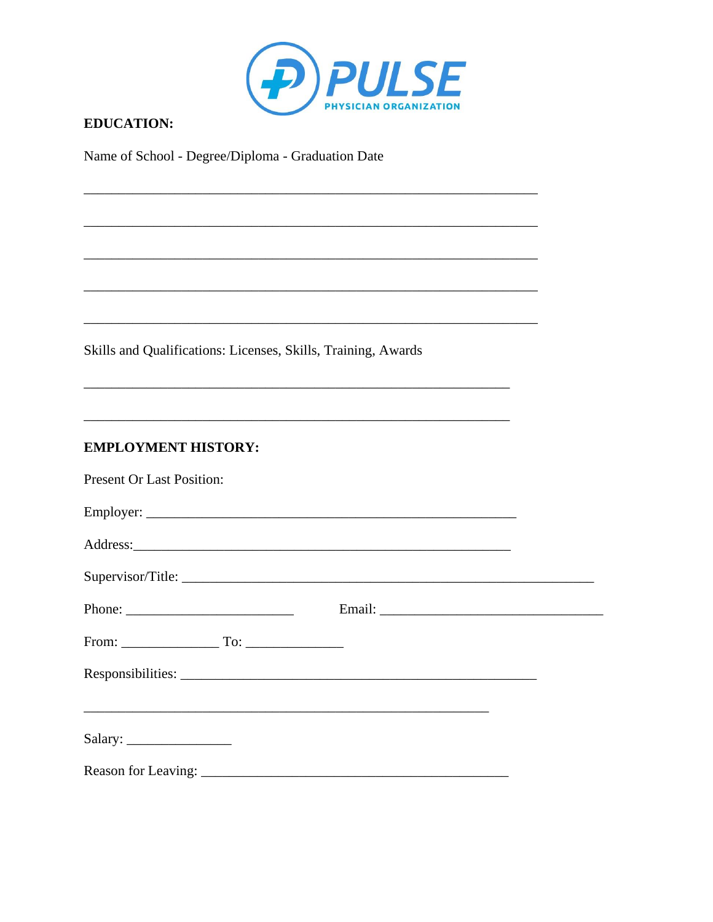

## **EDUCATION:**

Name of School - Degree/Diploma - Graduation Date

Skills and Qualifications: Licenses, Skills, Training, Awards

#### **EMPLOYMENT HISTORY:**

| <b>Present Or Last Position:</b>                                                                                                                                                                                                                                                                                                                                                                                                                                                    |        |  |
|-------------------------------------------------------------------------------------------------------------------------------------------------------------------------------------------------------------------------------------------------------------------------------------------------------------------------------------------------------------------------------------------------------------------------------------------------------------------------------------|--------|--|
|                                                                                                                                                                                                                                                                                                                                                                                                                                                                                     |        |  |
|                                                                                                                                                                                                                                                                                                                                                                                                                                                                                     |        |  |
|                                                                                                                                                                                                                                                                                                                                                                                                                                                                                     |        |  |
|                                                                                                                                                                                                                                                                                                                                                                                                                                                                                     | Email: |  |
| From: $\begin{array}{c} \n\text{From:} \quad \text{To:} \quad \text{[} \quad \text{[} \quad \text{[} \quad \text{[} \quad \text{[} \quad \text{[} \quad \text{[} \quad \text{[} \quad \text{[} \quad \text{[} \quad \text{[} \quad \text{[} \quad \text{[} \quad \text{[} \quad \text{[} \quad \text{[} \quad \text{[} \quad \text{[} \quad \text{[} \quad \text{[} \quad \text{[} \quad \text{[} \quad \text{[} \quad \text{[} \quad \text{[} \quad \text{[} \quad \text{[} \quad$ |        |  |
|                                                                                                                                                                                                                                                                                                                                                                                                                                                                                     |        |  |
| <u> 1989 - Johann Stoff, amerikansk politiker (d. 1989)</u>                                                                                                                                                                                                                                                                                                                                                                                                                         |        |  |
|                                                                                                                                                                                                                                                                                                                                                                                                                                                                                     |        |  |
|                                                                                                                                                                                                                                                                                                                                                                                                                                                                                     |        |  |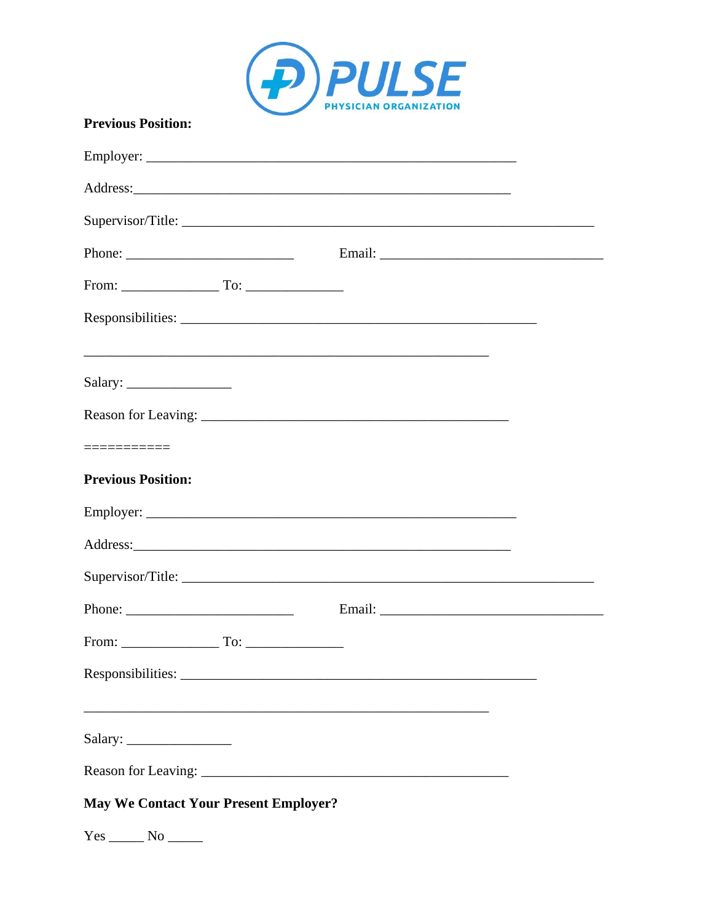

| <b>Previous Position:</b>                                                                                                                                                                                                                                                                                                                                                                                    |  |
|--------------------------------------------------------------------------------------------------------------------------------------------------------------------------------------------------------------------------------------------------------------------------------------------------------------------------------------------------------------------------------------------------------------|--|
|                                                                                                                                                                                                                                                                                                                                                                                                              |  |
|                                                                                                                                                                                                                                                                                                                                                                                                              |  |
|                                                                                                                                                                                                                                                                                                                                                                                                              |  |
|                                                                                                                                                                                                                                                                                                                                                                                                              |  |
|                                                                                                                                                                                                                                                                                                                                                                                                              |  |
|                                                                                                                                                                                                                                                                                                                                                                                                              |  |
|                                                                                                                                                                                                                                                                                                                                                                                                              |  |
|                                                                                                                                                                                                                                                                                                                                                                                                              |  |
|                                                                                                                                                                                                                                                                                                                                                                                                              |  |
| ===========                                                                                                                                                                                                                                                                                                                                                                                                  |  |
| <b>Previous Position:</b>                                                                                                                                                                                                                                                                                                                                                                                    |  |
|                                                                                                                                                                                                                                                                                                                                                                                                              |  |
|                                                                                                                                                                                                                                                                                                                                                                                                              |  |
|                                                                                                                                                                                                                                                                                                                                                                                                              |  |
| Phone: $\frac{1}{\sqrt{1-\frac{1}{2}}\sqrt{1-\frac{1}{2}}\sqrt{1-\frac{1}{2}}\sqrt{1-\frac{1}{2}}\sqrt{1-\frac{1}{2}}\sqrt{1-\frac{1}{2}}\sqrt{1-\frac{1}{2}}\sqrt{1-\frac{1}{2}}\sqrt{1-\frac{1}{2}}\sqrt{1-\frac{1}{2}}\sqrt{1-\frac{1}{2}}\sqrt{1-\frac{1}{2}}\sqrt{1-\frac{1}{2}}\sqrt{1-\frac{1}{2}}\sqrt{1-\frac{1}{2}}\sqrt{1-\frac{1}{2}}\sqrt{1-\frac{1}{2}}\sqrt{1-\frac{1}{2}}\sqrt{1-\frac{1}{2$ |  |
| From: $\qquad \qquad \qquad$ To: $\qquad \qquad$                                                                                                                                                                                                                                                                                                                                                             |  |
|                                                                                                                                                                                                                                                                                                                                                                                                              |  |
|                                                                                                                                                                                                                                                                                                                                                                                                              |  |
|                                                                                                                                                                                                                                                                                                                                                                                                              |  |
|                                                                                                                                                                                                                                                                                                                                                                                                              |  |
| <b>May We Contact Your Present Employer?</b>                                                                                                                                                                                                                                                                                                                                                                 |  |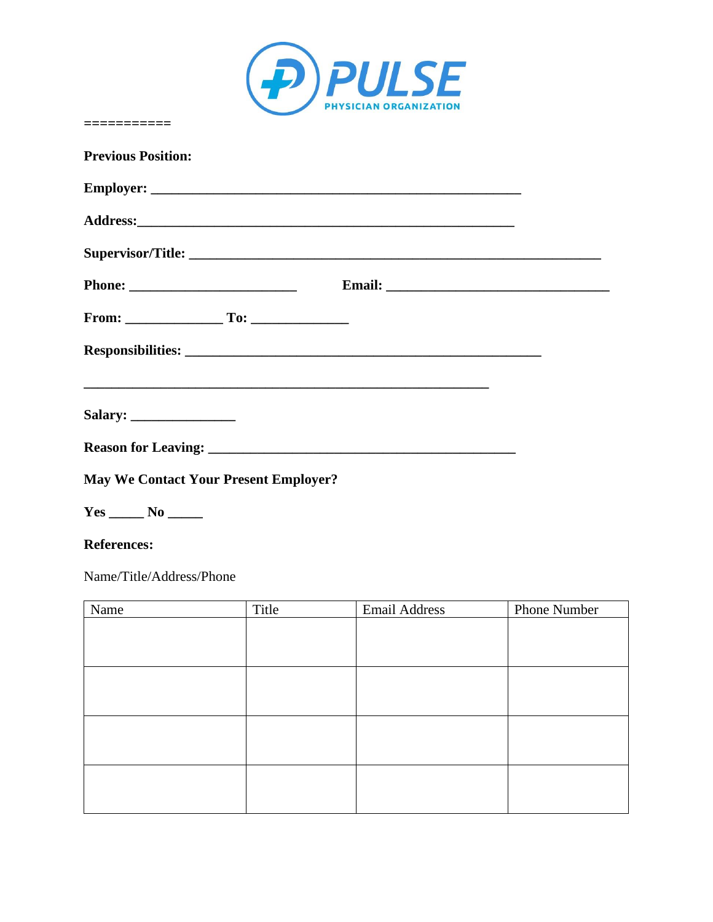

| <b>Previous Position:</b>                    |  |  |
|----------------------------------------------|--|--|
|                                              |  |  |
|                                              |  |  |
|                                              |  |  |
|                                              |  |  |
|                                              |  |  |
|                                              |  |  |
|                                              |  |  |
|                                              |  |  |
|                                              |  |  |
| <b>May We Contact Your Present Employer?</b> |  |  |

**Yes \_\_\_\_\_ No \_\_\_\_\_** 

**===========** 

### **References:**

Name/Title/Address/Phone

| Name | Title | <b>Email Address</b> | Phone Number |
|------|-------|----------------------|--------------|
|      |       |                      |              |
|      |       |                      |              |
|      |       |                      |              |
|      |       |                      |              |
|      |       |                      |              |
|      |       |                      |              |
|      |       |                      |              |
|      |       |                      |              |
|      |       |                      |              |
|      |       |                      |              |
|      |       |                      |              |
|      |       |                      |              |